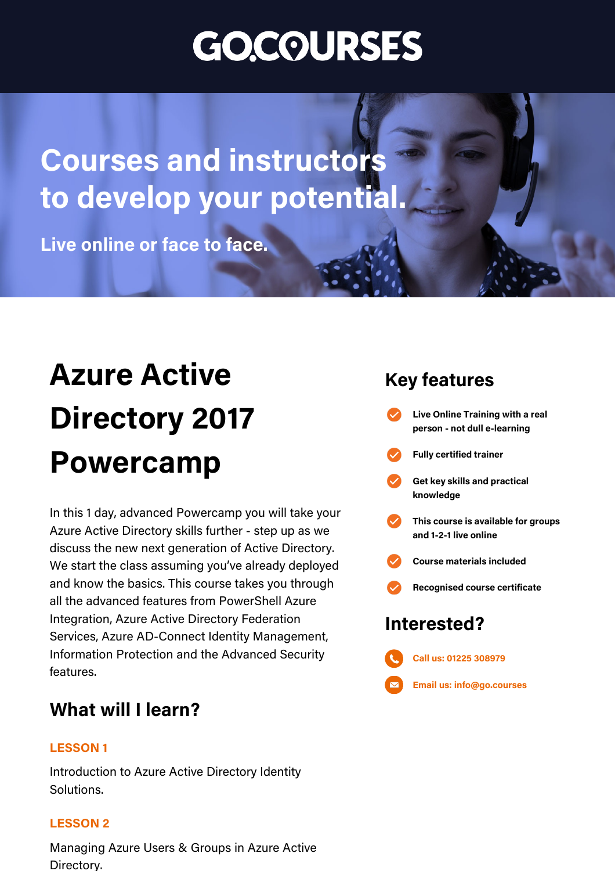# **GO.COURSES**

## **Coursesand instructors to develop your potential.**

**Live online or face to face.** 

## **Azure Active Directory2017 Powercamp**

In this 1 day, advanced Powercamp you will take your Azure Active Directory skills further - step up as we discuss the new next generation of Active Directory. We start the class assuming you've already deployed and know the basics. This course takes you through all the advanced features from PowerShell Azure Integration, Azure Active Directory Federation Services, Azure AD-Connect Identity Management, Information Protection and the Advanced Security features.

### **What will I learn?**

#### **LESSON 1**

Introduction to Azure Active Directory Identity Solutions.

#### **LESSON 2**

Managing Azure Users & Groups in Azure Active Directory.

### **Keyfeatures**

**Interested? Live Online Training with areal person - not dulle-learning Fullycertified trainer Getkeyskillsand practical knowledge This course is available for groups and 1-2-1 live online Course materialsincluded Recognised coursecertificate Call us: [01225308979](tel:01225308979)**

**Email us: [info@go.courses](mailto:info@go.courses)**